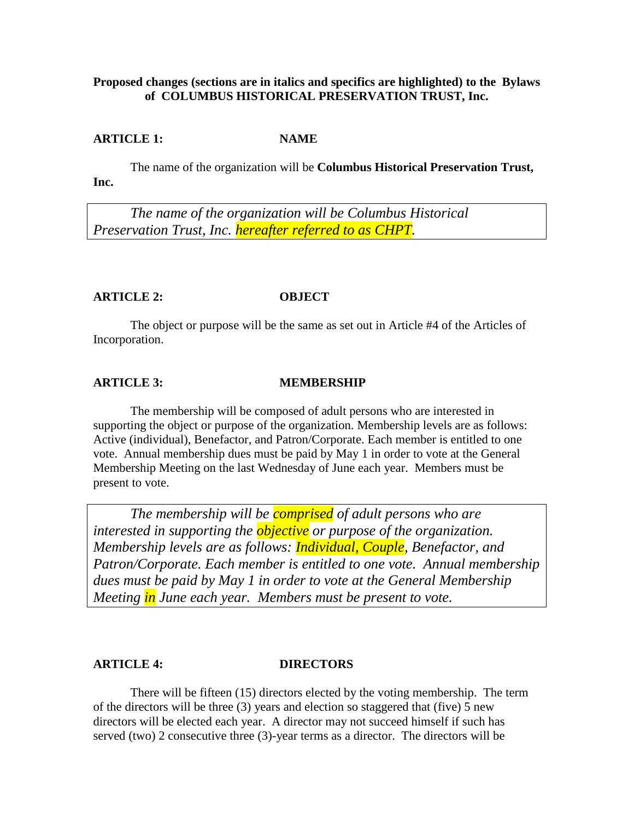### **Proposed changes (sections are in italics and specifics are highlighted) to the Bylaws of COLUMBUS HISTORICAL PRESERVATION TRUST, Inc.**

### **ARTICLE 1: NAME**

The name of the organization will be **Columbus Historical Preservation Trust, Inc.**

*The name of the organization will be Columbus Historical Preservation Trust, Inc. hereafter referred to as CHPT.*

### **ARTICLE 2: OBJECT**

The object or purpose will be the same as set out in Article #4 of the Articles of Incorporation.

### **ARTICLE 3: MEMBERSHIP**

The membership will be composed of adult persons who are interested in supporting the object or purpose of the organization. Membership levels are as follows: Active (individual), Benefactor, and Patron/Corporate. Each member is entitled to one vote. Annual membership dues must be paid by May 1 in order to vote at the General Membership Meeting on the last Wednesday of June each year. Members must be present to vote.

*The membership will be comprised of adult persons who are interested in supporting the objective or purpose of the organization. Membership levels are as follows: Individual, Couple, Benefactor, and Patron/Corporate. Each member is entitled to one vote. Annual membership dues must be paid by May 1 in order to vote at the General Membership Meeting in June each year. Members must be present to vote.*

### **ARTICLE 4: DIRECTORS**

There will be fifteen (15) directors elected by the voting membership. The term of the directors will be three (3) years and election so staggered that (five) 5 new directors will be elected each year. A director may not succeed himself if such has served (two) 2 consecutive three (3)-year terms as a director. The directors will be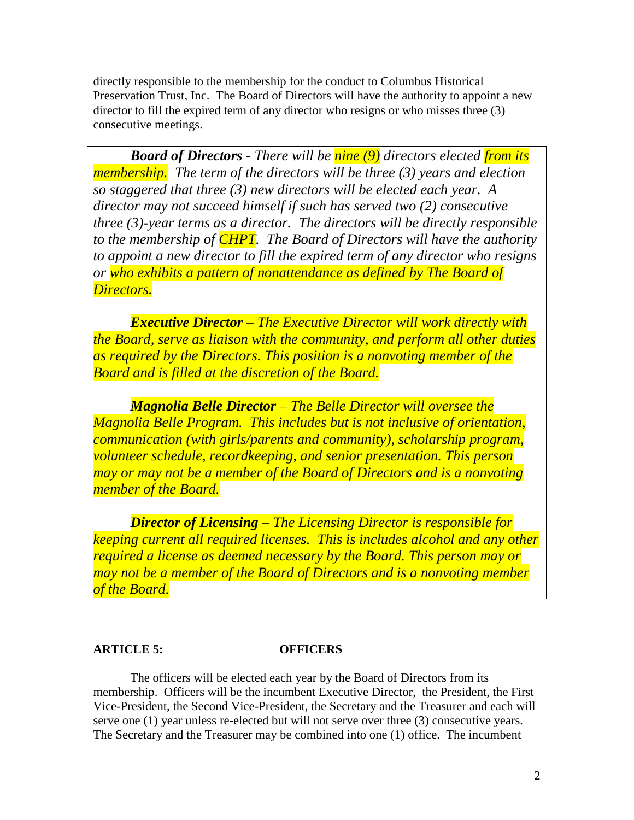directly responsible to the membership for the conduct to Columbus Historical Preservation Trust, Inc. The Board of Directors will have the authority to appoint a new director to fill the expired term of any director who resigns or who misses three (3) consecutive meetings.

*Board of Directors - There will be nine (9) directors elected from its membership. The term of the directors will be three (3) years and election so staggered that three (3) new directors will be elected each year. A director may not succeed himself if such has served two (2) consecutive three (3)-year terms as a director. The directors will be directly responsible to the membership of CHPT. The Board of Directors will have the authority to appoint a new director to fill the expired term of any director who resigns or who exhibits a pattern of nonattendance as defined by The Board of Directors.*

*Executive Director – The Executive Director will work directly with the Board, serve as liaison with the community, and perform all other duties as required by the Directors. This position is a nonvoting member of the Board and is filled at the discretion of the Board.*

*Magnolia Belle Director – The Belle Director will oversee the Magnolia Belle Program. This includes but is not inclusive of orientation, communication (with girls/parents and community), scholarship program, volunteer schedule, recordkeeping, and senior presentation. This person may or may not be a member of the Board of Directors and is a nonvoting member of the Board.*

*Director of Licensing – The Licensing Director is responsible for keeping current all required licenses. This is includes alcohol and any other required a license as deemed necessary by the Board. This person may or may not be a member of the Board of Directors and is a nonvoting member of the Board.*

### **ARTICLE 5: OFFICERS**

The officers will be elected each year by the Board of Directors from its membership. Officers will be the incumbent Executive Director, the President, the First Vice-President, the Second Vice-President, the Secretary and the Treasurer and each will serve one (1) year unless re-elected but will not serve over three (3) consecutive years. The Secretary and the Treasurer may be combined into one (1) office. The incumbent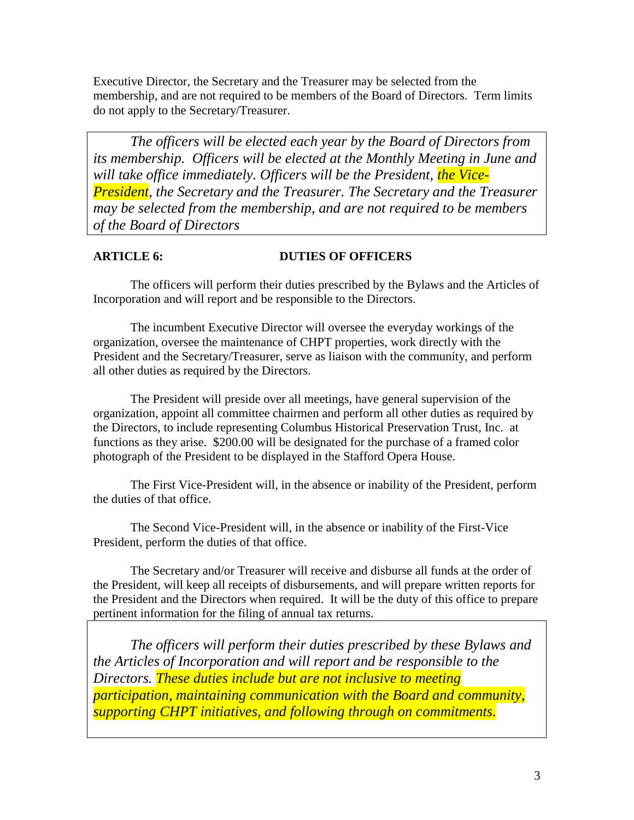Executive Director, the Secretary and the Treasurer may be selected from the membership, and are not required to be members of the Board of Directors. Term limits do not apply to the Secretary/Treasurer.

*The officers will be elected each year by the Board of Directors from its membership. Officers will be elected at the Monthly Meeting in June and will take office immediately. Officers will be the President, the Vice-President, the Secretary and the Treasurer. The Secretary and the Treasurer may be selected from the membership, and are not required to be members of the Board of Directors*

# **ARTICLE 6: DUTIES OF OFFICERS**

The officers will perform their duties prescribed by the Bylaws and the Articles of Incorporation and will report and be responsible to the Directors.

The incumbent Executive Director will oversee the everyday workings of the organization, oversee the maintenance of CHPT properties, work directly with the President and the Secretary/Treasurer, serve as liaison with the community, and perform all other duties as required by the Directors.

The President will preside over all meetings, have general supervision of the organization, appoint all committee chairmen and perform all other duties as required by the Directors, to include representing Columbus Historical Preservation Trust, Inc. at functions as they arise. \$200.00 will be designated for the purchase of a framed color photograph of the President to be displayed in the Stafford Opera House.

The First Vice-President will, in the absence or inability of the President, perform the duties of that office.

The Second Vice-President will, in the absence or inability of the First-Vice President, perform the duties of that office.

The Secretary and/or Treasurer will receive and disburse all funds at the order of the President, will keep all receipts of disbursements, and will prepare written reports for the President and the Directors when required. It will be the duty of this office to prepare pertinent information for the filing of annual tax returns.

*The officers will perform their duties prescribed by these Bylaws and the Articles of Incorporation and will report and be responsible to the Directors. These duties include but are not inclusive to meeting participation, maintaining communication with the Board and community, supporting CHPT initiatives, and following through on commitments.*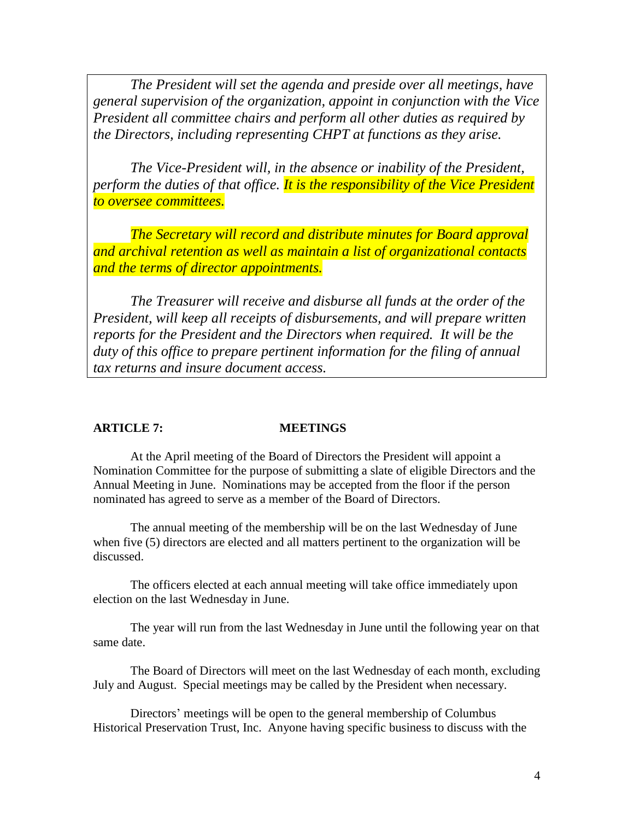*The President will set the agenda and preside over all meetings, have general supervision of the organization, appoint in conjunction with the Vice President all committee chairs and perform all other duties as required by the Directors, including representing CHPT at functions as they arise.* 

*The Vice-President will, in the absence or inability of the President, perform the duties of that office. It is the responsibility of the Vice President to oversee committees.*

*The Secretary will record and distribute minutes for Board approval and archival retention as well as maintain a list of organizational contacts and the terms of director appointments.*

*The Treasurer will receive and disburse all funds at the order of the President, will keep all receipts of disbursements, and will prepare written reports for the President and the Directors when required. It will be the duty of this office to prepare pertinent information for the filing of annual tax returns and insure document access.* 

### **ARTICLE 7: MEETINGS**

At the April meeting of the Board of Directors the President will appoint a Nomination Committee for the purpose of submitting a slate of eligible Directors and the Annual Meeting in June. Nominations may be accepted from the floor if the person nominated has agreed to serve as a member of the Board of Directors.

The annual meeting of the membership will be on the last Wednesday of June when five (5) directors are elected and all matters pertinent to the organization will be discussed.

The officers elected at each annual meeting will take office immediately upon election on the last Wednesday in June.

The year will run from the last Wednesday in June until the following year on that same date.

The Board of Directors will meet on the last Wednesday of each month, excluding July and August. Special meetings may be called by the President when necessary.

Directors' meetings will be open to the general membership of Columbus Historical Preservation Trust, Inc. Anyone having specific business to discuss with the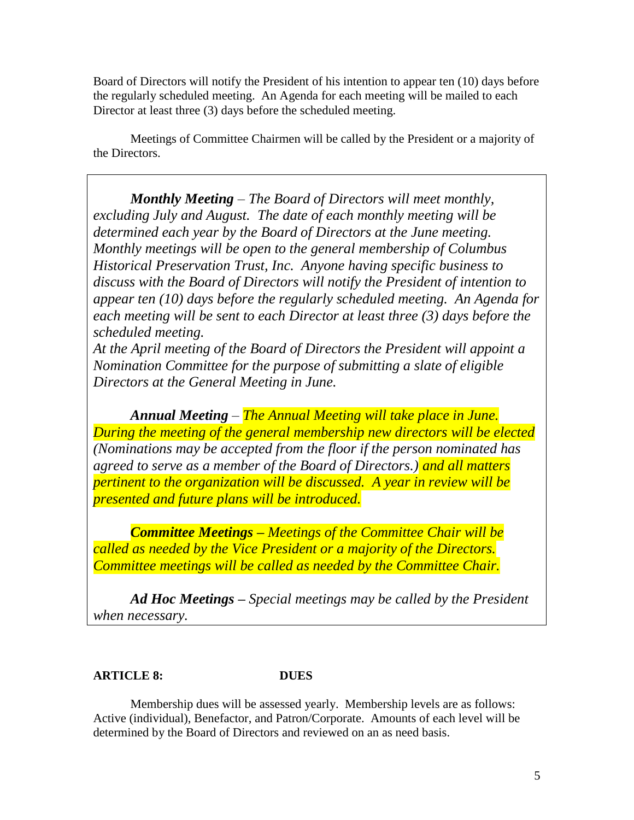Board of Directors will notify the President of his intention to appear ten (10) days before the regularly scheduled meeting. An Agenda for each meeting will be mailed to each Director at least three (3) days before the scheduled meeting.

Meetings of Committee Chairmen will be called by the President or a majority of the Directors.

*Monthly Meeting – The Board of Directors will meet monthly, excluding July and August. The date of each monthly meeting will be determined each year by the Board of Directors at the June meeting. Monthly meetings will be open to the general membership of Columbus Historical Preservation Trust, Inc. Anyone having specific business to discuss with the Board of Directors will notify the President of intention to appear ten (10) days before the regularly scheduled meeting. An Agenda for each meeting will be sent to each Director at least three (3) days before the scheduled meeting.* 

*At the April meeting of the Board of Directors the President will appoint a Nomination Committee for the purpose of submitting a slate of eligible Directors at the General Meeting in June.* 

*Annual Meeting – The Annual Meeting will take place in June. During the meeting of the general membership new directors will be elected (Nominations may be accepted from the floor if the person nominated has agreed to serve as a member of the Board of Directors.) and all matters pertinent to the organization will be discussed. A year in review will be presented and future plans will be introduced.*

*Committee Meetings – Meetings of the Committee Chair will be called as needed by the Vice President or a majority of the Directors. Committee meetings will be called as needed by the Committee Chair.*

*Ad Hoc Meetings – Special meetings may be called by the President when necessary.*

# **ARTICLE 8: DUES**

Membership dues will be assessed yearly. Membership levels are as follows: Active (individual), Benefactor, and Patron/Corporate. Amounts of each level will be determined by the Board of Directors and reviewed on an as need basis.